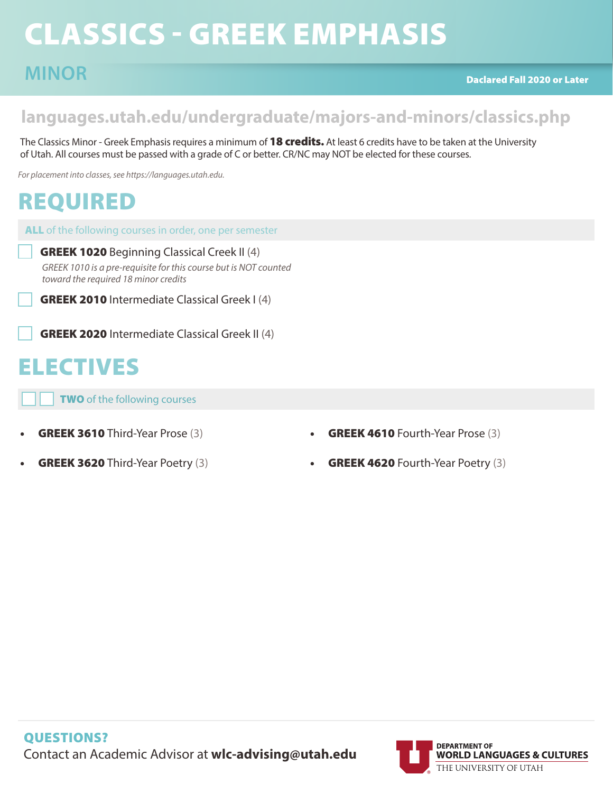# CLASSICS - GREEK EMPHASIS

### **languages.utah.edu/undergraduate/majors-and-minors/classics.php**

The Classics Minor - Greek Emphasis requires a minimum of 18 credits. At least 6 credits have to be taken at the University of Utah. All courses must be passed with a grade of C or better. CR/NC may NOT be elected for these courses.

*For placement into classes, see https://languages.utah.edu.* 

## REQUIRED

ALL of the following courses in order, one per semester

**GREEK 1020** Beginning Classical Creek II (4) *GREEK 1010 is a pre-requisite for this course but is NOT counted toward the required 18 minor credits*

GREEK 2010 Intermediate Classical Greek I (4)

GREEK 2020 Intermediate Classical Greek II (4)

## ELECTIVES

**TWO** of the following courses

- GREEK 3610 Third-Year Prose (3)
- GREEK 3620 Third-Year Poetry (3)
- GREEK 4610 Fourth-Year Prose (3)
- GREEK 4620 Fourth-Year Poetry (3)